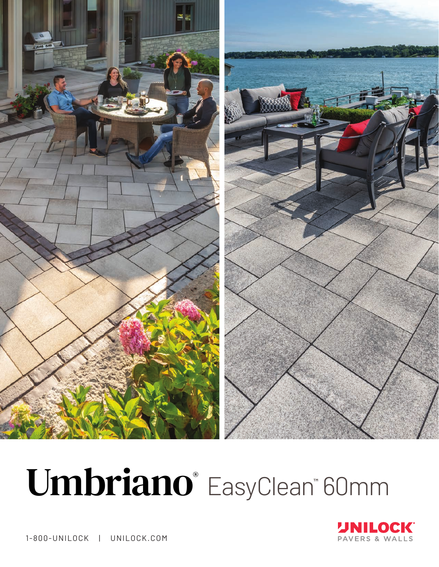

# Umbriano<sup>®</sup> EasyClean<sup>™</sup> 60mm



1-800-UNILOCK | UNILOCK.COM